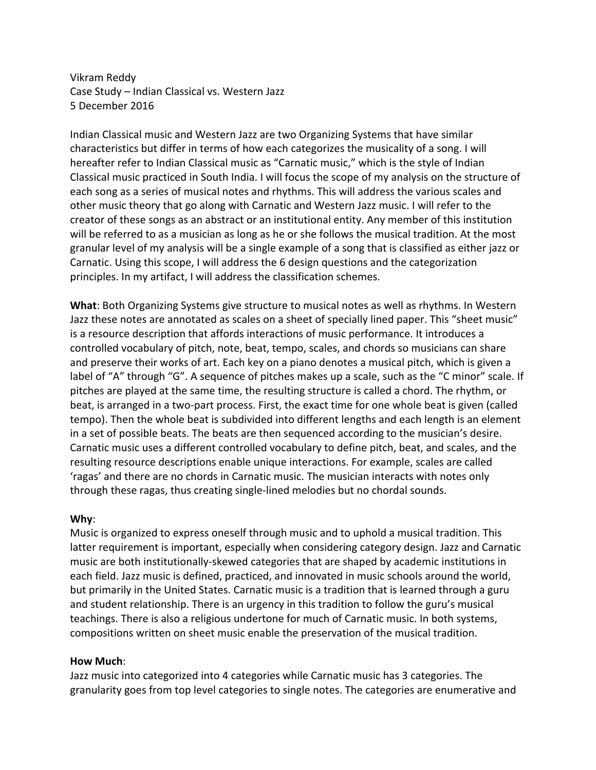Vikram Reddy Case Study - Indian Classical vs. Western Jazz 5 December 2016

Indian Classical music and Western Jazz are two Organizing Systems that have similar characteristics but differ in terms of how each categorizes the musicality of a song. I will hereafter refer to Indian Classical music as "Carnatic music," which is the style of Indian Classical music practiced in South India. I will focus the scope of my analysis on the structure of each song as a series of musical notes and rhythms. This will address the various scales and other music theory that go along with Carnatic and Western Jazz music. I will refer to the creator of these songs as an abstract or an institutional entity. Any member of this institution will be referred to as a musician as long as he or she follows the musical tradition. At the most granular level of my analysis will be a single example of a song that is classified as either jazz or Carnatic. Using this scope, I will address the 6 design questions and the categorization principles. In my artifact, I will address the classification schemes.

**What**: Both Organizing Systems give structure to musical notes as well as rhythms. In Western Jazz these notes are annotated as scales on a sheet of specially lined paper. This "sheet music" is a resource description that affords interactions of music performance. It introduces a controlled vocabulary of pitch, note, beat, tempo, scales, and chords so musicians can share and preserve their works of art. Each key on a piano denotes a musical pitch, which is given a label of "A" through "G". A sequence of pitches makes up a scale, such as the "C minor" scale. If pitches are played at the same time, the resulting structure is called a chord. The rhythm, or beat, is arranged in a two-part process. First, the exact time for one whole beat is given (called tempo). Then the whole beat is subdivided into different lengths and each length is an element in a set of possible beats. The beats are then sequenced according to the musician's desire. Carnatic music uses a different controlled vocabulary to define pitch, beat, and scales, and the resulting resource descriptions enable unique interactions. For example, scales are called 'ragas' and there are no chords in Carnatic music. The musician interacts with notes only through these ragas, thus creating single-lined melodies but no chordal sounds.

## **Why**:

Music is organized to express oneself through music and to uphold a musical tradition. This latter requirement is important, especially when considering category design. Jazz and Carnatic music are both institutionally-skewed categories that are shaped by academic institutions in each field. Jazz music is defined, practiced, and innovated in music schools around the world, but primarily in the United States. Carnatic music is a tradition that is learned through a guru and student relationship. There is an urgency in this tradition to follow the guru's musical teachings. There is also a religious undertone for much of Carnatic music. In both systems, compositions written on sheet music enable the preservation of the musical tradition.

## **How Much**:

Jazz music into categorized into 4 categories while Carnatic music has 3 categories. The granularity goes from top level categories to single notes. The categories are enumerative and